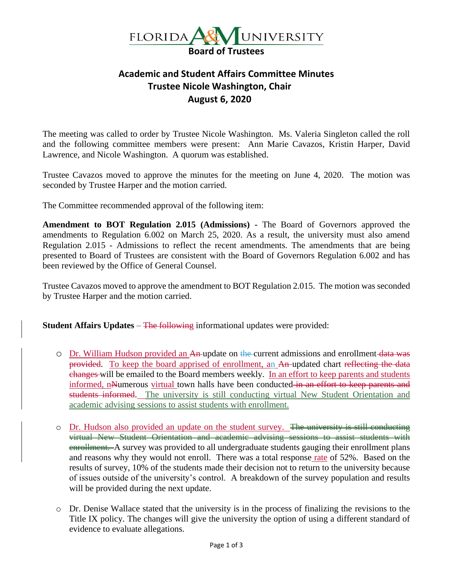

## **Academic and Student Affairs Committee Minutes Trustee Nicole Washington, Chair August 6, 2020**

The meeting was called to order by Trustee Nicole Washington. Ms. Valeria Singleton called the roll and the following committee members were present: Ann Marie Cavazos, Kristin Harper, David Lawrence, and Nicole Washington. A quorum was established.

Trustee Cavazos moved to approve the minutes for the meeting on June 4, 2020. The motion was seconded by Trustee Harper and the motion carried.

The Committee recommended approval of the following item:

**Amendment to BOT Regulation 2.015 (Admissions) -** The Board of Governors approved the amendments to Regulation 6.002 on March 25, 2020. As a result, the university must also amend Regulation 2.015 - Admissions to reflect the recent amendments. The amendments that are being presented to Board of Trustees are consistent with the Board of Governors Regulation 6.002 and has been reviewed by the Office of General Counsel.

Trustee Cavazos moved to approve the amendment to BOT Regulation 2.015. The motion was seconded by Trustee Harper and the motion carried.

**Student Affairs Updates – The following informational updates were provided:** 

- o Dr. William Hudson provided an An update on the current admissions and enrollment data was provided. To keep the board apprised of enrollment, an An-updated chart reflecting the data changes will be emailed to the Board members weekly. In an effort to keep parents and students informed, nNumerous virtual town halls have been conducted in an effort to keep parents and students informed. The university is still conducting virtual New Student Orientation and academic advising sessions to assist students with enrollment.
- o Dr. Hudson also provided an update on the student survey. The university is still conducting virtual New Student Orientation and academic advising sessions to assist students with enrollment. A survey was provided to all undergraduate students gauging their enrollment plans and reasons why they would not enroll. There was a total response rate of 52%. Based on the results of survey, 10% of the students made their decision not to return to the university because of issues outside of the university's control. A breakdown of the survey population and results will be provided during the next update.
- o Dr. Denise Wallace stated that the university is in the process of finalizing the revisions to the Title IX policy. The changes will give the university the option of using a different standard of evidence to evaluate allegations.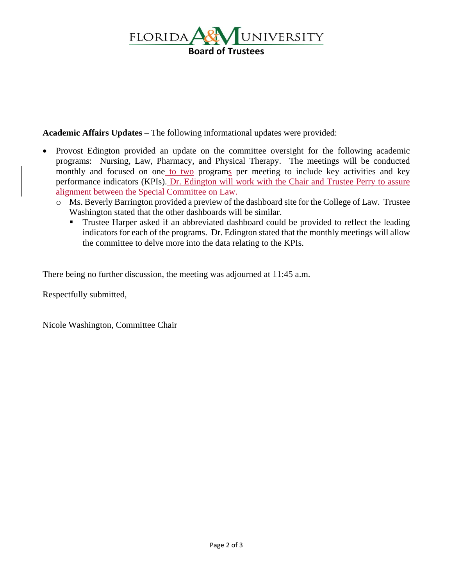

**Academic Affairs Updates** – The following informational updates were provided:

- Provost Edington provided an update on the committee oversight for the following academic programs: Nursing, Law, Pharmacy, and Physical Therapy. The meetings will be conducted monthly and focused on one to two programs per meeting to include key activities and key performance indicators (KPIs). Dr. Edington will work with the Chair and Trustee Perry to assure alignment between the Special Committee on Law.
	- o Ms. Beverly Barrington provided a preview of the dashboard site for the College of Law. Trustee Washington stated that the other dashboards will be similar.
		- **Trustee Harper asked if an abbreviated dashboard could be provided to reflect the leading** indicators for each of the programs. Dr. Edington stated that the monthly meetings will allow the committee to delve more into the data relating to the KPIs.

There being no further discussion, the meeting was adjourned at 11:45 a.m.

Respectfully submitted,

Nicole Washington, Committee Chair